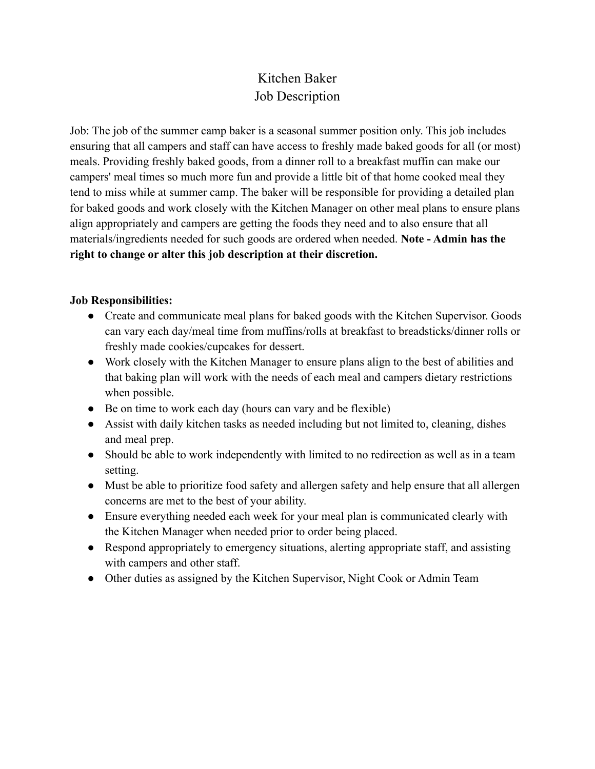## Kitchen Baker Job Description

Job: The job of the summer camp baker is a seasonal summer position only. This job includes ensuring that all campers and staff can have access to freshly made baked goods for all (or most) meals. Providing freshly baked goods, from a dinner roll to a breakfast muffin can make our campers' meal times so much more fun and provide a little bit of that home cooked meal they tend to miss while at summer camp. The baker will be responsible for providing a detailed plan for baked goods and work closely with the Kitchen Manager on other meal plans to ensure plans align appropriately and campers are getting the foods they need and to also ensure that all materials/ingredients needed for such goods are ordered when needed. **Note - Admin has the right to change or alter this job description at their discretion.**

## **Job Responsibilities:**

- Create and communicate meal plans for baked goods with the Kitchen Supervisor. Goods can vary each day/meal time from muffins/rolls at breakfast to breadsticks/dinner rolls or freshly made cookies/cupcakes for dessert.
- Work closely with the Kitchen Manager to ensure plans align to the best of abilities and that baking plan will work with the needs of each meal and campers dietary restrictions when possible.
- Be on time to work each day (hours can vary and be flexible)
- Assist with daily kitchen tasks as needed including but not limited to, cleaning, dishes and meal prep.
- Should be able to work independently with limited to no redirection as well as in a team setting.
- Must be able to prioritize food safety and allergen safety and help ensure that all allergen concerns are met to the best of your ability.
- Ensure everything needed each week for your meal plan is communicated clearly with the Kitchen Manager when needed prior to order being placed.
- Respond appropriately to emergency situations, alerting appropriate staff, and assisting with campers and other staff.
- Other duties as assigned by the Kitchen Supervisor, Night Cook or Admin Team